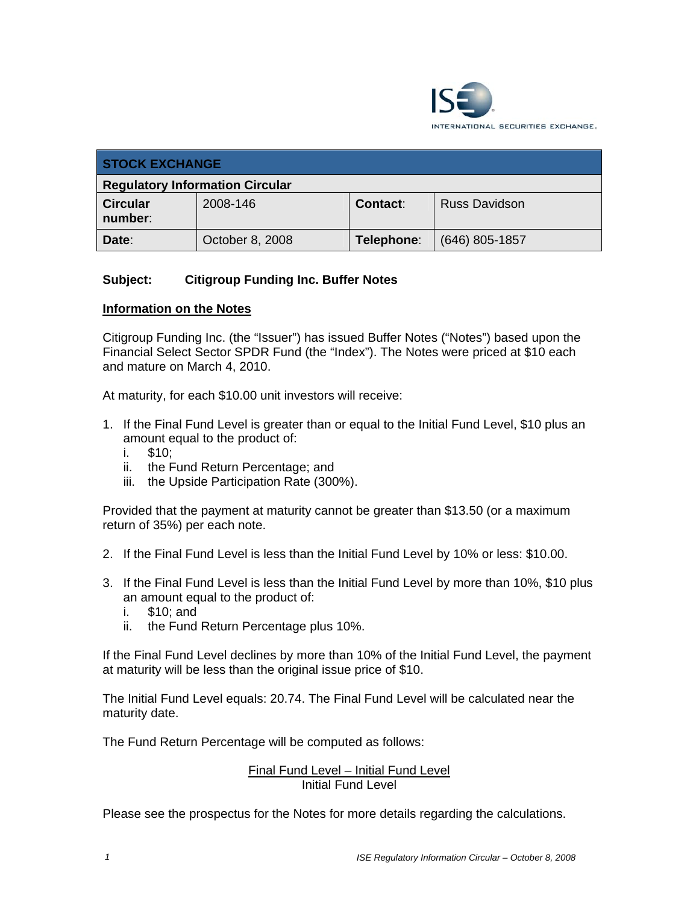

| <b>STOCK EXCHANGE</b>                  |                 |            |                      |
|----------------------------------------|-----------------|------------|----------------------|
| <b>Regulatory Information Circular</b> |                 |            |                      |
| <b>Circular</b><br>number:             | 2008-146        | Contact:   | <b>Russ Davidson</b> |
| Date:                                  | October 8, 2008 | Telephone: | $(646)$ 805-1857     |

## **Subject: Citigroup Funding Inc. Buffer Notes**

### **Information on the Notes**

Citigroup Funding Inc. (the "Issuer") has issued Buffer Notes ("Notes") based upon the Financial Select Sector SPDR Fund (the "Index"). The Notes were priced at \$10 each and mature on March 4, 2010.

At maturity, for each \$10.00 unit investors will receive:

- 1. If the Final Fund Level is greater than or equal to the Initial Fund Level, \$10 plus an amount equal to the product of:
	- i. \$10;
	- ii. the Fund Return Percentage; and
	- iii. the Upside Participation Rate (300%).

Provided that the payment at maturity cannot be greater than \$13.50 (or a maximum return of 35%) per each note.

- 2. If the Final Fund Level is less than the Initial Fund Level by 10% or less: \$10.00.
- 3. If the Final Fund Level is less than the Initial Fund Level by more than 10%, \$10 plus an amount equal to the product of:
	- i. \$10; and
	- ii. the Fund Return Percentage plus 10%.

If the Final Fund Level declines by more than 10% of the Initial Fund Level, the payment at maturity will be less than the original issue price of \$10.

The Initial Fund Level equals: 20.74. The Final Fund Level will be calculated near the maturity date.

The Fund Return Percentage will be computed as follows:

### Final Fund Level – Initial Fund Level Initial Fund Level

Please see the prospectus for the Notes for more details regarding the calculations.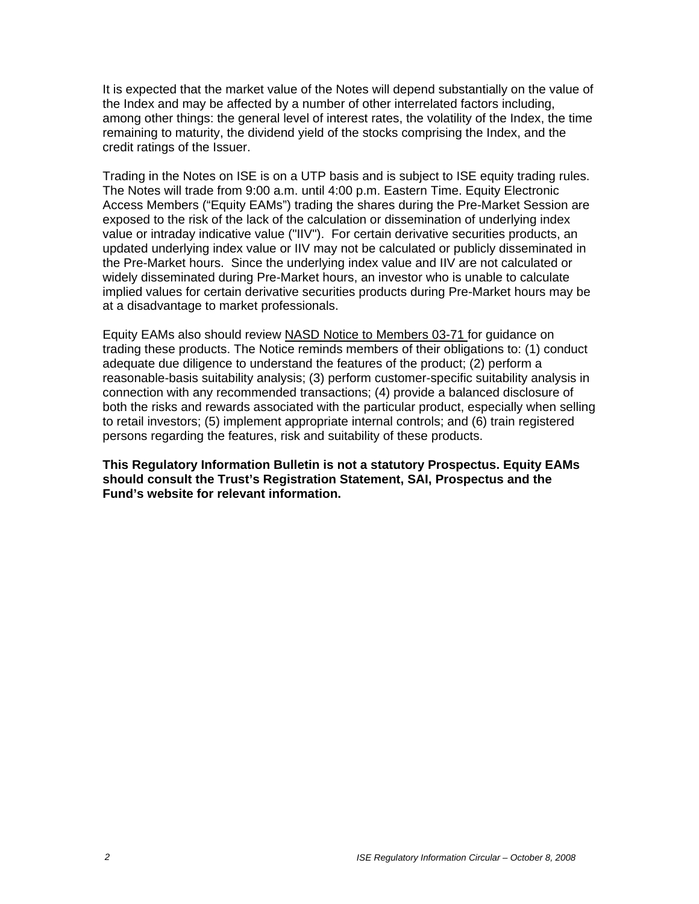It is expected that the market value of the Notes will depend substantially on the value of the Index and may be affected by a number of other interrelated factors including, among other things: the general level of interest rates, the volatility of the Index, the time remaining to maturity, the dividend yield of the stocks comprising the Index, and the credit ratings of the Issuer.

Trading in the Notes on ISE is on a UTP basis and is subject to ISE equity trading rules. The Notes will trade from 9:00 a.m. until 4:00 p.m. Eastern Time. Equity Electronic Access Members ("Equity EAMs") trading the shares during the Pre-Market Session are exposed to the risk of the lack of the calculation or dissemination of underlying index value or intraday indicative value ("IIV"). For certain derivative securities products, an updated underlying index value or IIV may not be calculated or publicly disseminated in the Pre-Market hours. Since the underlying index value and IIV are not calculated or widely disseminated during Pre-Market hours, an investor who is unable to calculate implied values for certain derivative securities products during Pre-Market hours may be at a disadvantage to market professionals.

Equity EAMs also should review NASD Notice to Members 03-71 for guidance on trading these products. The Notice reminds members of their obligations to: (1) conduct adequate due diligence to understand the features of the product; (2) perform a reasonable-basis suitability analysis; (3) perform customer-specific suitability analysis in connection with any recommended transactions; (4) provide a balanced disclosure of both the risks and rewards associated with the particular product, especially when selling to retail investors; (5) implement appropriate internal controls; and (6) train registered persons regarding the features, risk and suitability of these products.

**This Regulatory Information Bulletin is not a statutory Prospectus. Equity EAMs should consult the Trust's Registration Statement, SAI, Prospectus and the Fund's website for relevant information.**